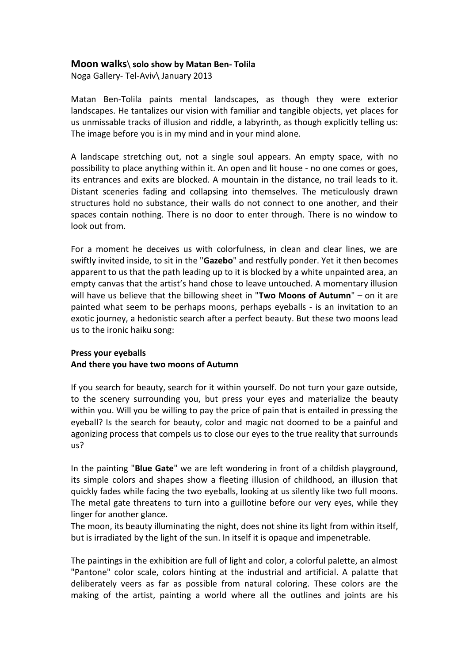## **Moon walks**\ **solo show by Matan Ben- Tolila**

Noga Gallery- Tel-Aviv\ January 2013

Matan Ben-Tolila paints mental landscapes, as though they were exterior landscapes. He tantalizes our vision with familiar and tangible objects, yet places for us unmissable tracks of illusion and riddle, a labyrinth, as though explicitly telling us: The image before you is in my mind and in your mind alone.

A landscape stretching out, not a single soul appears. An empty space, with no possibility to place anything within it. An open and lit house - no one comes or goes, its entrances and exits are blocked. A mountain in the distance, no trail leads to it. Distant sceneries fading and collapsing into themselves. The meticulously drawn structures hold no substance, their walls do not connect to one another, and their spaces contain nothing. There is no door to enter through. There is no window to look out from.

For a moment he deceives us with colorfulness, in clean and clear lines, we are swiftly invited inside, to sit in the "**Gazebo**" and restfully ponder. Yet it then becomes apparent to us that the path leading up to it is blocked by a white unpainted area, an empty canvas that the artist's hand chose to leave untouched. A momentary illusion will have us believe that the billowing sheet in "**Two Moons of Autumn**" – on it are painted what seem to be perhaps moons, perhaps eyeballs - is an invitation to an exotic journey, a hedonistic search after a perfect beauty. But these two moons lead us to the ironic haiku song:

## **Press your eyeballs And there you have two moons of Autumn**

If you search for beauty, search for it within yourself. Do not turn your gaze outside, to the scenery surrounding you, but press your eyes and materialize the beauty within you. Will you be willing to pay the price of pain that is entailed in pressing the eyeball? Is the search for beauty, color and magic not doomed to be a painful and agonizing process that compels us to close our eyes to the true reality that surrounds us?

In the painting "**Blue Gate**" we are left wondering in front of a childish playground, its simple colors and shapes show a fleeting illusion of childhood, an illusion that quickly fades while facing the two eyeballs, looking at us silently like two full moons. The metal gate threatens to turn into a guillotine before our very eyes, while they linger for another glance.

The moon, its beauty illuminating the night, does not shine its light from within itself, but is irradiated by the light of the sun. In itself it is opaque and impenetrable.

The paintings in the exhibition are full of light and color, a colorful palette, an almost "Pantone" color scale, colors hinting at the industrial and artificial. A palatte that deliberately veers as far as possible from natural coloring. These colors are the making of the artist, painting a world where all the outlines and joints are his